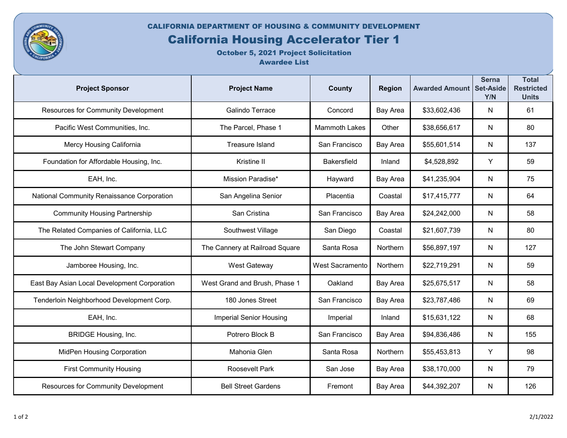CALIFORNIA DEPARTMENT OF HOUSING & COMMUNITY DEVELOPMENT

## California Housing Accelerator Tier 1

October 5, 2021 Project Solicitation Awardee List

| <b>Project Sponsor</b>                       | <b>Project Name</b>            | <b>County</b>          | <b>Region</b>   | <b>Awarded Amount Set-Aside</b> | <b>Serna</b><br>Y/N | <b>Total</b><br><b>Restricted</b><br><b>Units</b> |
|----------------------------------------------|--------------------------------|------------------------|-----------------|---------------------------------|---------------------|---------------------------------------------------|
| Resources for Community Development          | Galindo Terrace                | Concord                | <b>Bay Area</b> | \$33,602,436                    | N                   | 61                                                |
| Pacific West Communities, Inc.               | The Parcel, Phase 1            | <b>Mammoth Lakes</b>   | Other           | \$38,656,617                    | N                   | 80                                                |
| Mercy Housing California                     | <b>Treasure Island</b>         | San Francisco          | Bay Area        | \$55,601,514                    | N                   | 137                                               |
| Foundation for Affordable Housing, Inc.      | Kristine II                    | <b>Bakersfield</b>     | Inland          | \$4,528,892                     | Υ                   | 59                                                |
| EAH, Inc.                                    | Mission Paradise*              | Hayward                | Bay Area        | \$41,235,904                    | N                   | 75                                                |
| National Community Renaissance Corporation   | San Angelina Senior            | Placentia              | Coastal         | \$17,415,777                    | N                   | 64                                                |
| <b>Community Housing Partnership</b>         | San Cristina                   | San Francisco          | Bay Area        | \$24,242,000                    | N                   | 58                                                |
| The Related Companies of California, LLC     | Southwest Village              | San Diego              | Coastal         | \$21,607,739                    | N                   | 80                                                |
| The John Stewart Company                     | The Cannery at Railroad Square | Santa Rosa             | Northern        | \$56,897,197                    | N                   | 127                                               |
| Jamboree Housing, Inc.                       | West Gateway                   | <b>West Sacramento</b> | Northern        | \$22,719,291                    | N                   | 59                                                |
| East Bay Asian Local Development Corporation | West Grand and Brush, Phase 1  | Oakland                | Bay Area        | \$25,675,517                    | N                   | 58                                                |
| Tenderloin Neighborhood Development Corp.    | 180 Jones Street               | San Francisco          | Bay Area        | \$23,787,486                    | N                   | 69                                                |
| EAH, Inc.                                    | <b>Imperial Senior Housing</b> | Imperial               | Inland          | \$15,631,122                    | N                   | 68                                                |
| <b>BRIDGE Housing, Inc.</b>                  | Potrero Block B                | San Francisco          | Bay Area        | \$94,836,486                    | N                   | 155                                               |
| <b>MidPen Housing Corporation</b>            | Mahonia Glen                   | Santa Rosa             | <b>Northern</b> | \$55,453,813                    | Y                   | 98                                                |
| <b>First Community Housing</b>               | <b>Roosevelt Park</b>          | San Jose               | Bay Area        | \$38,170,000                    | N                   | 79                                                |
| Resources for Community Development          | <b>Bell Street Gardens</b>     | Fremont                | Bay Area        | \$44,392,207                    | ${\sf N}$           | 126                                               |